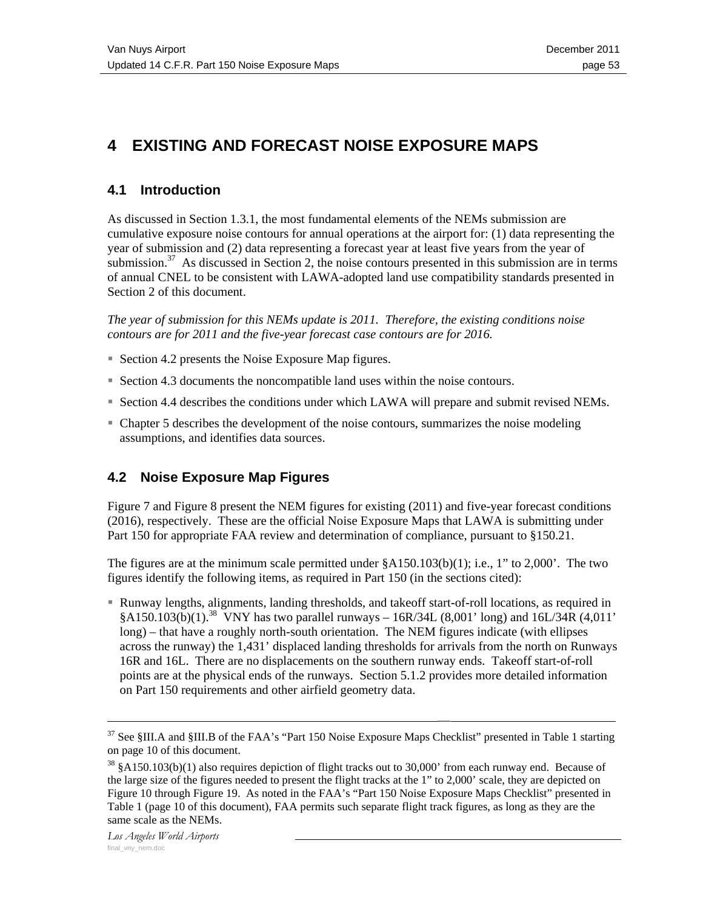# **4 EXISTING AND FORECAST NOISE EXPOSURE MAPS**

#### **4.1 Introduction**

As discussed in Section 1.3.1, the most fundamental elements of the NEMs submission are cumulative exposure noise contours for annual operations at the airport for: (1) data representing the year of submission and (2) data representing a forecast year at least five years from the year of submission. $37$  As discussed in Section 2, the noise contours presented in this submission are in terms of annual CNEL to be consistent with LAWA-adopted land use compatibility standards presented in Section 2 of this document.

*The year of submission for this NEMs update is 2011. Therefore, the existing conditions noise contours are for 2011 and the five-year forecast case contours are for 2016.* 

- Section 4.2 presents the Noise Exposure Map figures.
- Section 4.3 documents the noncompatible land uses within the noise contours.
- Section 4.4 describes the conditions under which LAWA will prepare and submit revised NEMs.
- Chapter 5 describes the development of the noise contours, summarizes the noise modeling assumptions, and identifies data sources.

#### **4.2 Noise Exposure Map Figures**

Figure 7 and Figure 8 present the NEM figures for existing (2011) and five-year forecast conditions (2016), respectively. These are the official Noise Exposure Maps that LAWA is submitting under Part 150 for appropriate FAA review and determination of compliance, pursuant to §150.21.

The figures are at the minimum scale permitted under  $\frac{\alpha}{100}$  A150.103(b)(1); i.e., 1" to 2,000". The two figures identify the following items, as required in Part 150 (in the sections cited):

 Runway lengths, alignments, landing thresholds, and takeoff start-of-roll locations, as required in  $§A150.103(b)(1).$ <sup>38</sup> VNY has two parallel runways – 16R/34L (8,001' long) and 16L/34R (4,011' long) – that have a roughly north-south orientation. The NEM figures indicate (with ellipses across the runway) the 1,431' displaced landing thresholds for arrivals from the north on Runways 16R and 16L. There are no displacements on the southern runway ends. Takeoff start-of-roll points are at the physical ends of the runways. Section 5.1.2 provides more detailed information on Part 150 requirements and other airfield geometry data.

 $37$  See §III.A and §III.B of the FAA's "Part 150 Noise Exposure Maps Checklist" presented in Table 1 starting on page 10 of this document.

 $38 \text{ }\frac{1}{9}$  \$A150.103(b)(1) also requires depiction of flight tracks out to 30,000' from each runway end. Because of the large size of the figures needed to present the flight tracks at the 1" to 2,000' scale, they are depicted on Figure 10 through Figure 19. As noted in the FAA's "Part 150 Noise Exposure Maps Checklist" presented in Table 1 (page 10 of this document), FAA permits such separate flight track figures, as long as they are the same scale as the NEMs.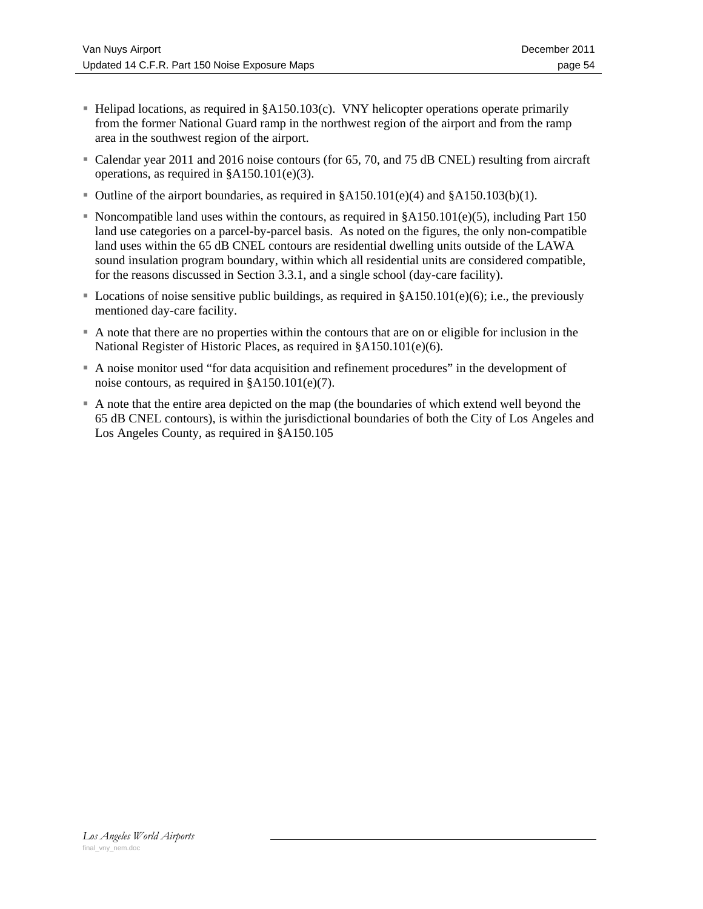- Helipad locations, as required in §A150.103(c). VNY helicopter operations operate primarily from the former National Guard ramp in the northwest region of the airport and from the ramp area in the southwest region of the airport.
- Calendar year 2011 and 2016 noise contours (for 65, 70, and 75 dB CNEL) resulting from aircraft operations, as required in §A150.101(e)(3).
- Outline of the airport boundaries, as required in §A150.101(e)(4) and §A150.103(b)(1).
- Noncompatible land uses within the contours, as required in  $\&A150.101(e)(5)$ , including Part 150 land use categories on a parcel-by-parcel basis. As noted on the figures, the only non-compatible land uses within the 65 dB CNEL contours are residential dwelling units outside of the LAWA sound insulation program boundary, within which all residential units are considered compatible, for the reasons discussed in Section 3.3.1, and a single school (day-care facility).
- Locations of noise sensitive public buildings, as required in  $\delta A150.101(e)(6)$ ; i.e., the previously mentioned day-care facility.
- A note that there are no properties within the contours that are on or eligible for inclusion in the National Register of Historic Places, as required in §A150.101(e)(6).
- A noise monitor used "for data acquisition and refinement procedures" in the development of noise contours, as required in §A150.101(e)(7).
- A note that the entire area depicted on the map (the boundaries of which extend well beyond the 65 dB CNEL contours), is within the jurisdictional boundaries of both the City of Los Angeles and Los Angeles County, as required in §A150.105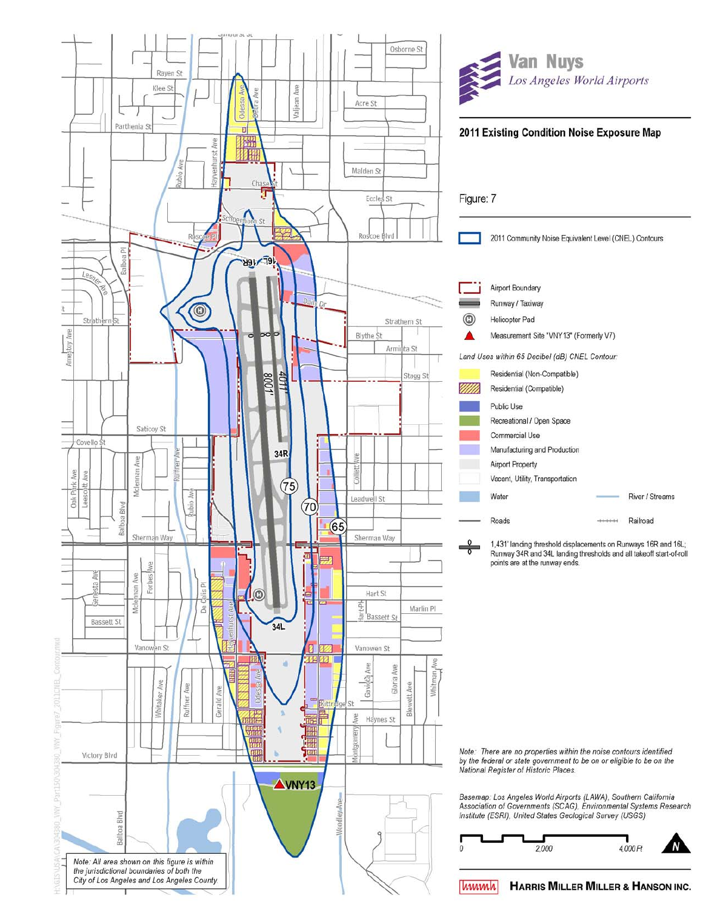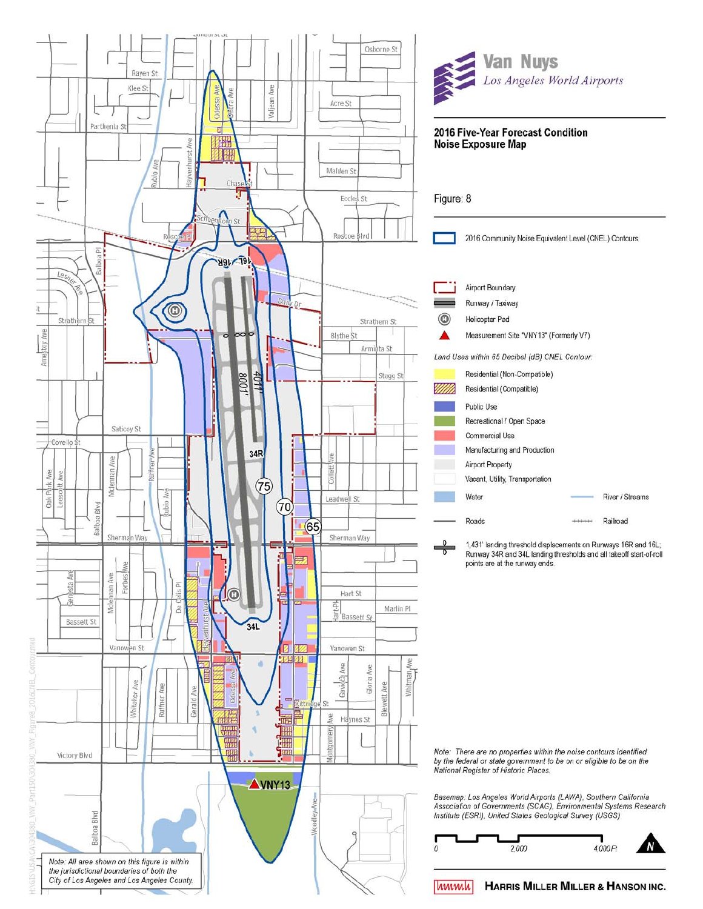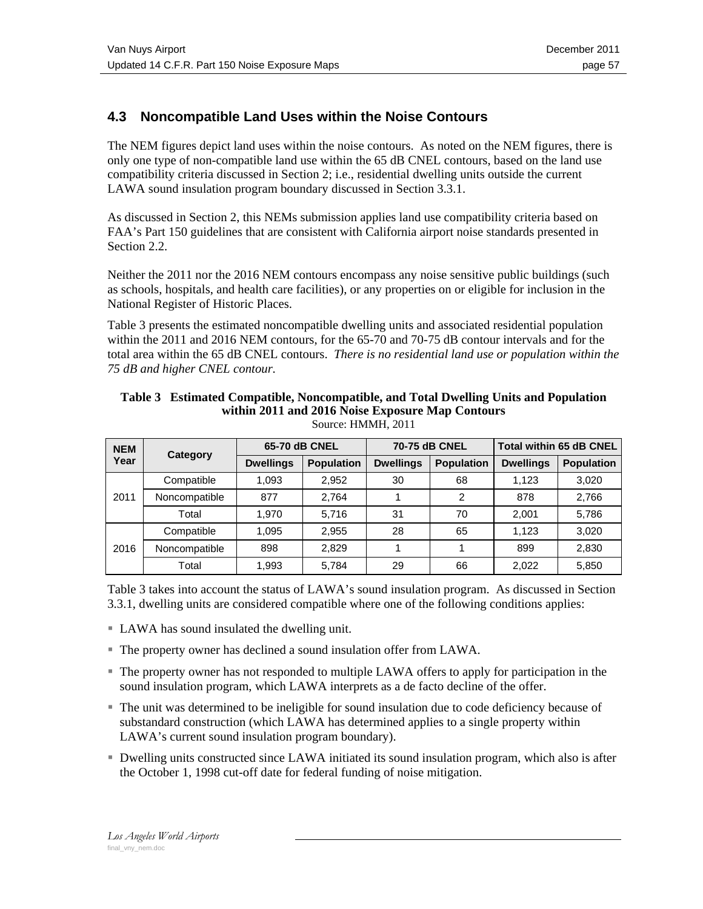### **4.3 Noncompatible Land Uses within the Noise Contours**

The NEM figures depict land uses within the noise contours. As noted on the NEM figures, there is only one type of non-compatible land use within the 65 dB CNEL contours, based on the land use compatibility criteria discussed in Section 2; i.e., residential dwelling units outside the current LAWA sound insulation program boundary discussed in Section 3.3.1.

As discussed in Section 2, this NEMs submission applies land use compatibility criteria based on FAA's Part 150 guidelines that are consistent with California airport noise standards presented in Section 2.2.

Neither the 2011 nor the 2016 NEM contours encompass any noise sensitive public buildings (such as schools, hospitals, and health care facilities), or any properties on or eligible for inclusion in the National Register of Historic Places.

Table 3 presents the estimated noncompatible dwelling units and associated residential population within the 2011 and 2016 NEM contours, for the 65-70 and 70-75 dB contour intervals and for the total area within the 65 dB CNEL contours. *There is no residential land use or population within the 75 dB and higher CNEL contour.*

| <b>NEM</b><br>Year | Category      | 65-70 dB CNEL    |                   | 70-75 dB CNEL    |                   | <b>Total within 65 dB CNEL</b> |                   |
|--------------------|---------------|------------------|-------------------|------------------|-------------------|--------------------------------|-------------------|
|                    |               | <b>Dwellings</b> | <b>Population</b> | <b>Dwellings</b> | <b>Population</b> | <b>Dwellings</b>               | <b>Population</b> |
| 2011               | Compatible    | 1,093            | 2,952             | 30               | 68                | 1.123                          | 3,020             |
|                    | Noncompatible | 877              | 2.764             |                  | 2                 | 878                            | 2,766             |
|                    | Total         | 1,970            | 5,716             | 31               | 70                | 2.001                          | 5,786             |
| 2016               | Compatible    | 1,095            | 2,955             | 28               | 65                | 1.123                          | 3,020             |
|                    | Noncompatible | 898              | 2.829             |                  |                   | 899                            | 2,830             |
|                    | Total         | 1,993            | 5,784             | 29               | 66                | 2.022                          | 5,850             |

**Table 3 Estimated Compatible, Noncompatible, and Total Dwelling Units and Population within 2011 and 2016 Noise Exposure Map Contours**  Source: HMMH, 2011

Table 3 takes into account the status of LAWA's sound insulation program. As discussed in Section 3.3.1, dwelling units are considered compatible where one of the following conditions applies:

- LAWA has sound insulated the dwelling unit.
- The property owner has declined a sound insulation offer from LAWA.
- The property owner has not responded to multiple LAWA offers to apply for participation in the sound insulation program, which LAWA interprets as a de facto decline of the offer.
- The unit was determined to be ineligible for sound insulation due to code deficiency because of substandard construction (which LAWA has determined applies to a single property within LAWA's current sound insulation program boundary).
- Dwelling units constructed since LAWA initiated its sound insulation program, which also is after the October 1, 1998 cut-off date for federal funding of noise mitigation.